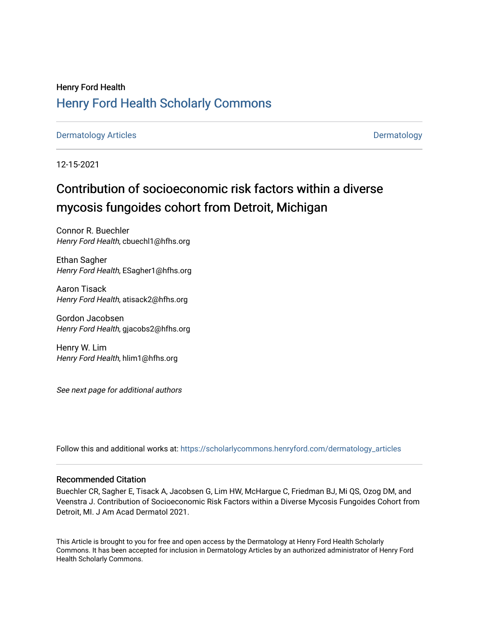## Henry Ford Health [Henry Ford Health Scholarly Commons](https://scholarlycommons.henryford.com/)

## [Dermatology Articles](https://scholarlycommons.henryford.com/dermatology_articles) **Dermatology**

12-15-2021

# Contribution of socioeconomic risk factors within a diverse mycosis fungoides cohort from Detroit, Michigan

Connor R. Buechler Henry Ford Health, cbuechl1@hfhs.org

Ethan Sagher Henry Ford Health, ESagher1@hfhs.org

Aaron Tisack Henry Ford Health, atisack2@hfhs.org

Gordon Jacobsen Henry Ford Health, gjacobs2@hfhs.org

Henry W. Lim Henry Ford Health, hlim1@hfhs.org

See next page for additional authors

Follow this and additional works at: [https://scholarlycommons.henryford.com/dermatology\\_articles](https://scholarlycommons.henryford.com/dermatology_articles?utm_source=scholarlycommons.henryford.com%2Fdermatology_articles%2F640&utm_medium=PDF&utm_campaign=PDFCoverPages)

## Recommended Citation

Buechler CR, Sagher E, Tisack A, Jacobsen G, Lim HW, McHargue C, Friedman BJ, Mi QS, Ozog DM, and Veenstra J. Contribution of Socioeconomic Risk Factors within a Diverse Mycosis Fungoides Cohort from Detroit, MI. J Am Acad Dermatol 2021.

This Article is brought to you for free and open access by the Dermatology at Henry Ford Health Scholarly Commons. It has been accepted for inclusion in Dermatology Articles by an authorized administrator of Henry Ford Health Scholarly Commons.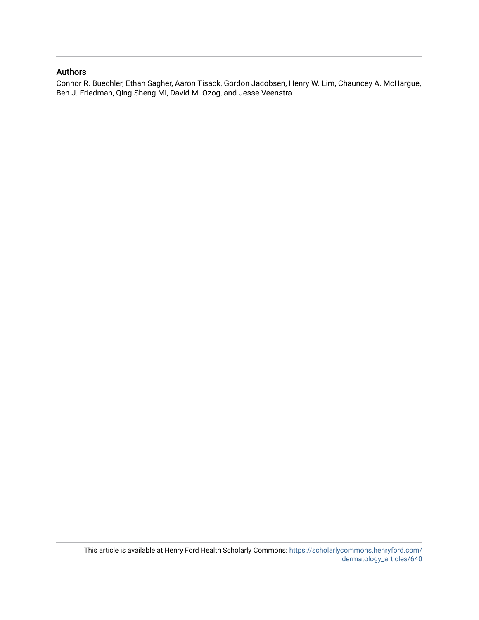## Authors

Connor R. Buechler, Ethan Sagher, Aaron Tisack, Gordon Jacobsen, Henry W. Lim, Chauncey A. McHargue, Ben J. Friedman, Qing-Sheng Mi, David M. Ozog, and Jesse Veenstra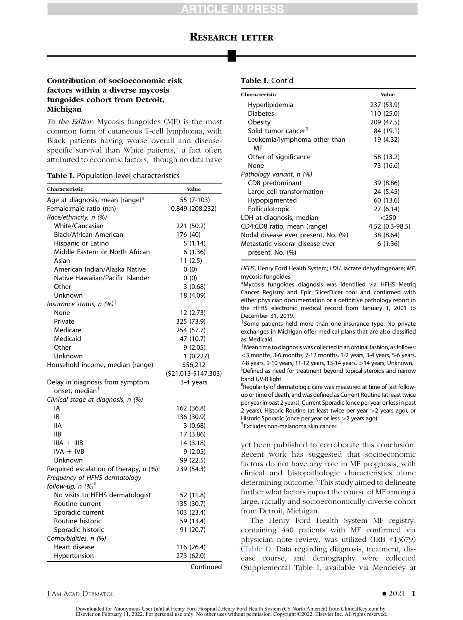## RESEARCH LETTER

### Contribution of socioeconomic risk factors within a diverse mycosis fungoides cohort from Detroit, Michigan

To the Editor: Mycosis fungoides (MF) is the most common form of cutaneous T-cell lymphoma, with Black patients having worse overall and diseasespecific survival than White patients, $\frac{1}{1}$  $\frac{1}{1}$  $\frac{1}{1}$  a fact often attributed to economic factors, $^2$  $^2$  though no data have

#### <span id="page-2-0"></span>Table I. Population-level characteristics

| Characteristic                                                | <b>Value</b>         |  |  |
|---------------------------------------------------------------|----------------------|--|--|
| Age at diagnosis, mean (range)*                               | 55 (7-103)           |  |  |
| Female:male ratio (n:n)                                       | 0.849 (208:232)      |  |  |
| Race/ethnicity, n (%)                                         |                      |  |  |
| White/Caucasian                                               | 221 (50.2)           |  |  |
| Black/African American                                        | 176 (40)             |  |  |
| Hispanic or Latino                                            | 5(1.14)              |  |  |
| Middle Eastern or North African                               | 6(1.36)              |  |  |
| Asian                                                         | 11(2.5)              |  |  |
| American Indian/Alaska Native                                 | 0(0)                 |  |  |
| Native Hawaiian/Pacific Islander                              | 0(0)                 |  |  |
| Other                                                         | 3(0.68)              |  |  |
| Unknown                                                       | 18 (4.09)            |  |  |
| Insurance status, n (%) <sup>†</sup>                          |                      |  |  |
| None                                                          | 12 (2.73)            |  |  |
| Private                                                       | 325 (73.9)           |  |  |
| Medicare                                                      | 254 (57.7)           |  |  |
| Medicaid                                                      | 47 (10.7)            |  |  |
| Other                                                         | 9(2.05)              |  |  |
| Unknown                                                       | 1(0.227)             |  |  |
| Household income, median (range)                              | \$56,212             |  |  |
|                                                               | (\$21,013-\$147,303) |  |  |
| Delay in diagnosis from symptom<br>onset, median <sup>#</sup> | 3-4 years            |  |  |
| Clinical stage at diagnosis, n (%)                            |                      |  |  |
| IA                                                            | 162 (36.8)           |  |  |
| IB                                                            | 136 (30.9)           |  |  |
| <b>IIA</b>                                                    | 3(0.68)              |  |  |
| <b>IIB</b>                                                    | 17 (3.86)            |  |  |
| $IIIA + IIIB$                                                 | 14 (3.18)            |  |  |
| $IVA + IVB$                                                   | 9(2.05)              |  |  |
| Unknown                                                       | 99 (22.5)            |  |  |
| Required escalation of therapy, n $(\%)^{\S}$                 | 239 (54.3)           |  |  |
| Frequency of HFHS dermatology                                 |                      |  |  |
| follow-up, n (%)                                              |                      |  |  |
| No visits to HFHS dermatologist                               | 52 (11.8)            |  |  |
| Routine current                                               | 135 (30.7)           |  |  |
| Sporadic current                                              | 103 (23.4)           |  |  |
| Routine historic                                              | 59 (13.4)            |  |  |
| Sporadic historic                                             | 91 (20.7)            |  |  |
| Comorbidities, n (%)                                          |                      |  |  |
| Heart disease                                                 | 116 (26.4)           |  |  |
| Hypertension                                                  | 273 (62.0)           |  |  |
|                                                               | Continued            |  |  |

#### Table I. Cont'd

| Characteristic                                       | <b>Value</b>    |
|------------------------------------------------------|-----------------|
| Hyperlipidemia                                       | 237 (53.9)      |
| <b>Diabetes</b>                                      | 110 (25.0)      |
| Obesity                                              | 209 (47.5)      |
| Solid tumor cancer <sup>1</sup>                      | 84 (19.1)       |
| Leukemia/lymphoma other than<br>ΜF                   | 19 (4.32)       |
| Other of significance                                | 58 (13.2)       |
| None                                                 | 73 (16.6)       |
| Pathology variant, n (%)                             |                 |
| CD8 predominant                                      | 39 (8.86)       |
| Large cell transformation                            | 24 (5.45)       |
| Hypopigmented                                        | 60 (13.6)       |
| Folliculotropic                                      | 27 (6.14)       |
| LDH at diagnosis, median                             | $<$ 250         |
| CD4:CD8 ratio, mean (range)                          | 4.52 (0.3-98.5) |
| Nodal disease ever present, No. (%)                  | 38 (8.64)       |
| Metastatic visceral disease ever<br>present, No. (%) | 6 (1.36)        |

HFHS, Henry Ford Health System; LDH, lactate dehydrogenase; MF, mycosis fungoides.

\*Mycosis fungoides diagnosis was identified via HFHS Metriq Cancer Registry and Epic SlicerDicer tool and confirmed with either physician documentation or a definitive pathology report in the HFHS electronic medical record from January 1, 2001 to December 31, 2019.

<sup>†</sup>Some patients held more than one insurance type. No private exchanges in Michigan offer medical plans that are also classified as Medicaid.

z Mean time to diagnosis was collected in an ordinal fashion, as follows:  $<$ 3 months, 3-6 months, 7-12 months, 1-2 years, 3-4 years, 5-6 years, 7-8 years, 9-10 years, 11-12 years, 13-14 years, >14 years, Unknown. <sup>§</sup>Defined as need for treatment beyond topical steroids and narrow band UV-B light.

ǁ Regularity of dermatologic care was measured at time of last followup or time of death, and was defined as Current Routine (at least twice per year in past 2 years), Current Sporadic (once per year or less in past 2 years), Historic Routine (at least twice per year > 2 years ago), or Historic Sporadic (once per year or less > 2 years ago).

{ Excludes non-melanoma skin cancer.

yet been published to corroborate this conclusion. Recent work has suggested that socioeconomic factors do not have any role in MF prognosis, with clinical and histopathologic characteristics alone determining outcome.<sup>[3](#page-4-2)</sup> This study aimed to delineate further what factors impact the course of MF among a large, racially and socioeconomically diverse cohort from Detroit, Michigan.

The Henry Ford Health System MF registry, containing 440 patients with MF confirmed via physician note review, was utilized (IRB #13679) [\(Table I\)](#page-2-0). Data regarding diagnosis, treatment, disease course, and demography were collected (Supplemental Table I, available via Mendeley at

#### J AM ACAD DERMATOL **DERMATOL** 2021 1

Downloaded for Anonymous User (n/a) at Henry Ford Hospital / Henry Ford Health System (CS North America) from ClinicalKey.com by Elsevier on February 11, 2022. For personal use only. No other uses without permission. Copyright ©2022. Elsevier Inc. All rights reserved.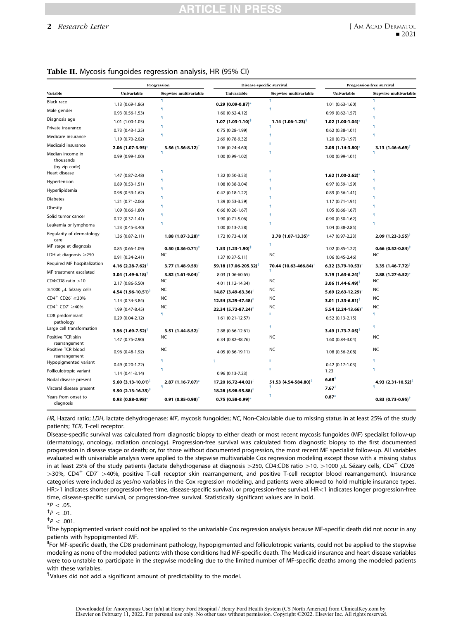## RTICLE IN PRES

#### 2 Research Letter

<span id="page-3-0"></span>

| Table II. Mycosis fungoides regression analysis, HR (95% CI) |  |  |
|--------------------------------------------------------------|--|--|
|--------------------------------------------------------------|--|--|

|                                     | Progression                       |                                   | Disease-specific survival         |                                   | Progression-free survival         |                                   |
|-------------------------------------|-----------------------------------|-----------------------------------|-----------------------------------|-----------------------------------|-----------------------------------|-----------------------------------|
| Variable                            | Univariable                       | Stepwise multivariable            | Univariable                       | Stepwise multivariable            | Univariable                       | Stepwise multivariable            |
| Black race                          | 1.13 (0.69-1.86)                  |                                   | $0.29(0.09-0.87)$ *               | я                                 | $1.01$ $(0.63 - 1.60)$            |                                   |
| Male gender                         | $0.93$ $(0.56 - 1.53)$            |                                   | 1.60 (0.62-4.12)                  | ۹                                 | $0.99$ $(0.62 - 1.57)$            |                                   |
| Diagnosis age                       | 1.01 (1.00-1.03)                  |                                   | $1.07$ $(1.03 - 1.10)^{\ddagger}$ | $1.14(1.06-1.23)^{\ddagger}$      | $1.02$ (1.00-1.04)*               |                                   |
| Private insurance                   | $0.73$ $(0.43 - 1.25)$            |                                   | $0.75(0.28-1.99)$                 | ۹                                 | $0.62$ $(0.38 - 1.01)$            |                                   |
| Medicare insurance                  | 1.19 (0.70-2.02)                  |                                   | 2.69 (0.78-9.32)                  |                                   | 1.20 (0.73-1.97)                  |                                   |
| Medicaid insurance                  | 2.06 (1.07-3.95)*                 | 3.56 $(1.56 - 8.12)^T$            | 1.06 (0.24-4.60)                  |                                   | 2.08 (1.14-3.80)*                 | 3.13 $(1.46 - 6.69)$ <sup>†</sup> |
| Median income in<br>thousands       | 0.99 (0.99-1.00)                  |                                   | 1.00 (0.99-1.02)                  |                                   | 1.00 (0.99-1.01)                  |                                   |
| (by zip code)<br>Heart disease      | 1.47 (0.87-2.48)                  | ٩                                 | 1.32 (0.50-3.53)                  | $\mathbf{u}$                      | $1.62$ (1.00-2.62)*               |                                   |
| Hypertension                        | $0.89(0.53-1.51)$                 |                                   | 1.08 (0.38-3.04)                  |                                   | $0.97(0.59-1.59)$                 |                                   |
| Hyperlipidemia                      | $0.98$ $(0.59-1.62)$              |                                   | $0.47(0.18-1.22)$                 |                                   | $0.89(0.56-1.41)$                 |                                   |
| <b>Diabetes</b>                     | 1.21 (0.71-2.06)                  |                                   | 1.39 (0.53-3.59)                  |                                   | 1.17 (0.71-1.91)                  |                                   |
| Obesity                             | 1.09 (0.66-1.80)                  |                                   | $0.66$ $(0.26 - 1.67)$            |                                   | 1.05 (0.66-1.67)                  |                                   |
| Solid tumor cancer                  | $0.72$ $(0.37-1.41)$              |                                   | 1.90 (0.71-5.06)                  |                                   | $0.90(0.50-1.62)$                 |                                   |
| Leukemia or lymphoma                | 1.23 (0.45-3.40)                  |                                   | 1.00 (0.13-7.58)                  |                                   | 1.04 (0.38-2.85)                  |                                   |
| Regularity of dermatology<br>care   | 1.36 (0.87-2.11)                  | $1.88$ (1.07-3.28)*               | 1.72 (0.73-4.10)                  | 3.78 (1.07-13.35)*                | 1.47 (0.97-2.23)                  | $2.09(1.23 - 3.55)^{\dagger}$     |
| MF stage at diagnosis               | $0.85(0.66-1.09)$                 | $0.50(0.36-0.71)^+$               | $1.53$ $(1.23 - 1.90)^{\ddagger}$ | ۹                                 | 1.02 (0.85-1.22)                  | $0.66$ $(0.52 - 0.84)^+$          |
| LDH at diagnosis $\geq$ 250         | $0.91(0.34-2.41)$                 | NC.                               | 1.37 (0.37-5.11)                  | NC                                | 1.06 (0.45-2.46)                  | NC                                |
| Required MF hospitalization         | 4.16 $(2.28 - 7.62)^+$            | $3.77(1.48-9.59)$                 | 59.18 (17.06-205.32) <sup>+</sup> | 70.44 (10.63-466.84) <sup>+</sup> | 6.32 $(3.79-10.53)^T$             | 3.35 $(1.46 - 7.72)$              |
| MF treatment escalated              | 3.04 $(1.49 - 6.18)$ <sup>†</sup> | 3.82 $(1.61 - 9.04)$ <sup>†</sup> | 8.03 (1.06-60.65)                 | я                                 | 3.19 $(1.63 - 6.24)^{\dagger}$    | 2.88 (1.27-6.52)*                 |
| $CD4$ :CD8 ratio $>10$              | 2.17 (0.86-5.50)                  | <b>NC</b>                         | 4.01 (1.12-14.34)                 | <b>NC</b>                         | 3.06 $(1.44 - 6.49)$ <sup>†</sup> | NC                                |
| $\geq$ 1000 $\mu$ L Sézary cells    | 4.54 $(1.96 - 10.51)^{\ddagger}$  | NC                                | $14.87$ (3.49-63.36) <sup>‡</sup> | <b>NC</b>                         | 5.69 $(2.63 - 12.29)^+$           | NC                                |
| $CD4^+$ $CD26^- \geq 30\%$          | 1.14 (0.34-3.84)                  | <b>NC</b>                         | $12.54$ (3.29-47.48) <sup>‡</sup> | <b>NC</b>                         | 3.01 $(1.33 - 6.81)$ <sup>†</sup> | <b>NC</b>                         |
| $CD4^+$ CD7 $\geq 40\%$             | 1.99 (0.47-8.45)                  | <b>NC</b>                         | 22.34 (5.72-87.24) <sup>‡</sup>   | <b>NC</b>                         | 5.54 $(2.24 - 13.66)^+$           | <b>NC</b>                         |
| CD8 predominant<br>pathology        | $0.29(0.04-2.12)$                 | ۹                                 | $1.61(0.21-12.57)$                | Ш                                 | $0.52$ $(0.13 - 2.15)$            | ۹                                 |
| Large cell transformation           | 3.56 $(1.69 - 7.52)^+$            | 3.51 $(1.44 - 8.52)^{\dagger}$    | 2.88 (0.66-12.61)                 | ۹                                 | 3.49 $(1.73 - 7.05)^+$            | ۹                                 |
| Positive TCR skin<br>rearrangement  | 1.47 (0.75-2.90)                  | NC                                | 6.34 (0.82-48.76)                 | NC                                | 1.60 (0.84-3.04)                  | NC                                |
| Positive TCR blood<br>rearrangement | $0.96$ $(0.48-1.92)$              | <b>NC</b>                         | 4.05 (0.86-19.11)                 | <b>NC</b>                         | 1.08 (0.56-2.08)                  | NC                                |
| Hypopigmented variant               | $0.49(0.20-1.22)$                 | ۹                                 |                                   |                                   | 0.42 (0.17-1.03)                  |                                   |
| Folliculotropic variant             | $1.14(0.41-3.14)$                 |                                   | $0.96(0.13 - 7.23)$               |                                   | 1.23                              |                                   |
| Nodal disease present               | 5.60 $(3.13 - 10.01)^{\ddagger}$  | $2.87$ (1.16-7.07)*               | $17.20(6.72 - 44.02)^+$           | 51.53 (4.54-584.80) <sup>†</sup>  | $6.68^+$                          | 4.93 $(2.31-10.52)^+$             |
| Visceral disease present            | $5.90(2.13 - 16.35)^+$            |                                   | $18.28$ (5.98-55.88) <sup>‡</sup> |                                   | $7.67$ <sup>+</sup>               |                                   |
| Years from onset to<br>diagnosis    | $0.93$ (0.88-0.98)*               | $0.91(0.85-0.98)$                 | $0.75(0.58-0.99)$ *               |                                   | $0.87*$                           | $0.83$ $(0.73 - 0.95)$            |

HR, Hazard ratio; LDH, lactate dehydrogenase; MF, mycosis fungoides; NC, Non-Calculable due to missing status in at least 25% of the study patients; TCR, T-cell receptor.

Disease-specific survival was calculated from diagnostic biopsy to either death or most recent mycosis fungoides (MF) specialist follow-up (dermatology, oncology, radiation oncology). Progression-free survival was calculated from diagnostic biopsy to the first documented progression in disease stage or death; or, for those without documented progression, the most recent MF specialist follow-up. All variables evaluated with univariable analysis were applied to the stepwise multivariable Cox regression modeling except those with a missing status in at least 25% of the study patients (lactate dehydrogenase at diagnosis >250, CD4:CD8 ratio >10, >1000  $\mu$ L Sézary cells, CD4<sup>+</sup> CD26<sup>-</sup>  $>$ 30%, CD4<sup>+</sup> CD7 $>$  40%, positive T-cell receptor skin rearrangement, and positive T-cell receptor blood rearrangement). Insurance categories were included as yes/no variables in the Cox regression modeling, and patients were allowed to hold multiple insurance types. HR > 1 indicates shorter progression-free time, disease-specific survival, or progression-free survival. HR < 1 indicates longer progression-free time, disease-specific survival, or progression-free survival. Statistically significant values are in bold.

$$
^{\ast P}_{P} < .05.
$$
  

$$
^{\dagger}P < .01.
$$

 $^{\ddagger}P < .001.$ 

 $^{\rm 3}$ The hypopigmented variant could not be applied to the univariable Cox regression analysis because MF-specific death did not occur in any patients with hypopigmented MF.

<sup>ii</sup>For MF-specific death, the CD8 predominant pathology, hypopigmented and folliculotropic variants, could not be applied to the stepwise modeling as none of the modeled patients with those conditions had MF-specific death. The Medicaid insurance and heart disease variables were too unstable to participate in the stepwise modeling due to the limited number of MF-specific deaths among the modeled patients with these variables.

IValues did not add a significant amount of predictability to the model.